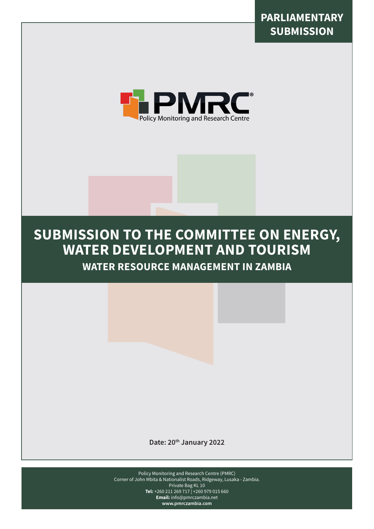



# **SUBMISSION TO THE COMMITTEE ON ENERGY, WATER DEVELOPMENT AND TOURISM**

**WATER RESOURCE MANAGEMENT IN ZAMBIA**

**Date: 20th January 2022**

Policy Monitoring and Research Centre (PMRC) Corner of John Mbita & Nationalist Roads, Ridgeway, Lusaka - Zambia. Private Bag KL 10 **Tel:** +260 211 269 717 | +260 979 015 660 **Email:** info@pmrczambia.net **www.pmrczambia.com**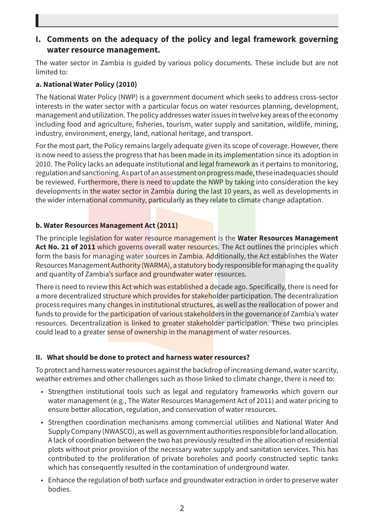# **I. Comments on the adequacy of the policy and legal framework governing water resource management.**

The water sector in Zambia is guided by various policy documents. These include but are not limited to:

#### **a. National Water Policy (2010)**

The National Water Policy (NWP) is a government document which seeks to address cross-sector interests in the water sector with a particular focus on water resources planning, development, management and utilization. The policy addresses water issues in twelve key areas of the economy including food and agriculture, fisheries, tourism, water supply and sanitation, wildlife, mining, industry, environment, energy, land, national heritage, and transport.

For the most part, the Policy remains largely adequate given its scope of coverage. However, there is now need to assess the progress that has been made in its implementation since its adoption in 2010. The Policy lacks an adequate institutional and legal framework as it pertains to monitoring, regulation and sanctioning. As part of an assessment on progress made, these inadequacies should be reviewed. Furthermore, there is need to update the NWP by taking into consideration the key developments in the water sector in Zambia during the last 10 years, as well as developments in the wider international community, particularly as they relate to climate change adaptation.

### **b. Water Resources Management Act (2011)**

The principle legislation for water resource management is the **Water Resources Management**  Act No. 21 of 2011 which governs overall water resources. The Act outlines the principles which form the basis for managing water sources in Zambia. Additionally, the Act establishes the Water Resources Management Authority (WARMA), a statutory body responsible for managing the quality and quantity of Zambia's surface and groundwater water resources.

There is need to review this Act which was established a decade ago. Specifically, there is need for a more decentralized structure which provides for stakeholder participation. The decentralization process requires many changes in institutional structures, as well as the reallocation of power and funds to provide for the participation of various stakeholders in the governance of Zambia's water resources. Decentralization is linked to greater stakeholder participation. These two principles could lead to a greater sense of ownership in the management of water resources.

## **II. What should be done to protect and harness water resources?**

To protect and harness water resources against the backdrop of increasing demand, water scarcity, weather extremes and other challenges such as those linked to climate change, there is need to:

- Strengthen institutional tools such as legal and regulatory frameworks which govern our water management (e.g., The Water Resources Management Act of 2011) and water pricing to ensure better allocation, regulation, and conservation of water resources.
- Strengthen coordination mechanisms among commercial utilities and National Water And Supply Company (NWASCO), as well as government authorities responsible for land allocation. A lack of coordination between the two has previously resulted in the allocation of residential plots without prior provision of the necessary water supply and sanitation services. This has contributed to the proliferation of private boreholes and poorly constructed septic tanks which has consequently resulted in the contamination of underground water.
- Enhance the regulation of both surface and groundwater extraction in order to preserve water bodies.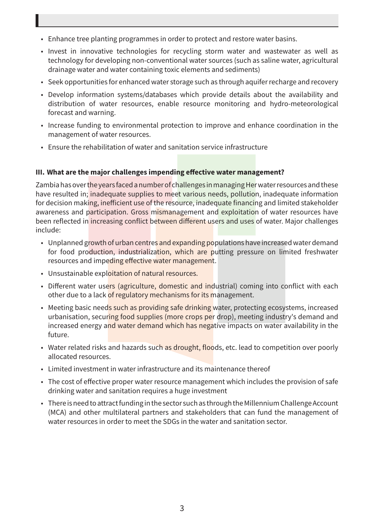- Enhance tree planting programmes in order to protect and restore water basins.
- Invest in innovative technologies for recycling storm water and wastewater as well as technology for developing non-conventional water sources (such as saline water, agricultural drainage water and water containing toxic elements and sediments)
- Seek opportunities for enhanced water storage such as through aquifer recharge and recovery
- Develop information systems/databases which provide details about the availability and distribution of water resources, enable resource monitoring and hydro-meteorological forecast and warning.
- Increase funding to environmental protection to improve and enhance coordination in the management of water resources.
- Ensure the rehabilitation of water and sanitation service infrastructure

#### **III. What are the major challenges impending effective water management?**

Zambia has over the years faced a number of challenges in managing Her water resources and these have resulted in; inadequate supplies to meet various needs, pollution, inadequate information for decision making, inefficient use of the resource, inadequate financing and limited stakeholder awareness and participation. Gross mismanagement and exploitation of water resources have been reflected in increasing conflict between different users and uses of water. Major challenges include:

- Unplanned growth of urban centres and expanding populations have increased water demand for food production, industrialization, which are putting pressure on limited freshwater resources and impeding effective water management.
- Unsustainable exploitation of natural resources.
- Different water users (agriculture, domestic and industrial) coming into conflict with each other due to a lack of regulatory mechanisms for its management.
- Meeting basic needs such as providing safe drinking water, protecting ecosystems, increased urbanisation, securing food supplies (more crops per drop), meeting industry's demand and increased energy and water demand which has negative impacts on water availability in the future.
- Water related risks and hazards such as drought, floods, etc. lead to competition over poorly allocated resources.
- Limited investment in water infrastructure and its maintenance thereof
- The cost of effective proper water resource management which includes the provision of safe drinking water and sanitation requires a huge investment
- There is need to attract funding in the sector such as through the Millennium Challenge Account (MCA) and other multilateral partners and stakeholders that can fund the management of water resources in order to meet the SDGs in the water and sanitation sector.